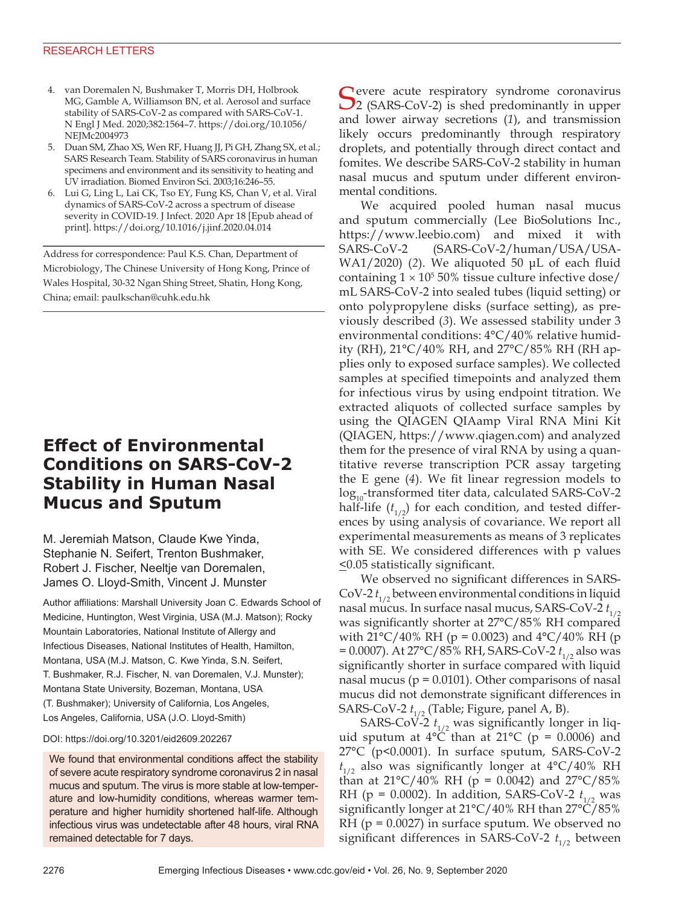### RESEARCH LETTERS

- 4. van Doremalen N, Bushmaker T, Morris DH, Holbrook MG, Gamble A, Williamson BN, et al. Aerosol and surface stability of SARS-CoV-2 as compared with SARS-CoV-1. N Engl J Med. 2020;382:1564–7. https://doi.org/10.1056/ NEJMc2004973
- 5. Duan SM, Zhao XS, Wen RF, Huang JJ, Pi GH, Zhang SX, et al.; SARS Research Team. Stability of SARS coronavirus in human specimens and environment and its sensitivity to heating and UV irradiation. Biomed Environ Sci. 2003;16:246–55.
- 6. Lui G, Ling L, Lai CK, Tso EY, Fung KS, Chan V, et al. Viral dynamics of SARS-CoV-2 across a spectrum of disease severity in COVID-19. J Infect. 2020 Apr 18 [Epub ahead of print]. https://doi.org/10.1016/j.jinf.2020.04.014

Address for correspondence: Paul K.S. Chan, Department of Microbiology, The Chinese University of Hong Kong, Prince of Wales Hospital, 30-32 Ngan Shing Street, Shatin, Hong Kong, China; email: paulkschan@cuhk.edu.hk

# **Effect of Environmental Conditions on SARS-CoV-2 Stability in Human Nasal Mucus and Sputum**

M. Jeremiah Matson, Claude Kwe Yinda, Stephanie N. Seifert, Trenton Bushmaker, Robert J. Fischer, Neeltje van Doremalen, James O. Lloyd-Smith, Vincent J. Munster

Author affiliations: Marshall University Joan C. Edwards School of Medicine, Huntington, West Virginia, USA (M.J. Matson); Rocky Mountain Laboratories, National Institute of Allergy and Infectious Diseases, National Institutes of Health, Hamilton, Montana, USA (M.J. Matson, C. Kwe Yinda, S.N. Seifert, T. Bushmaker, R.J. Fischer, N. van Doremalen, V.J. Munster); Montana State University, Bozeman, Montana, USA (T. Bushmaker); University of California, Los Angeles, Los Angeles, California, USA (J.O. Lloyd-Smith)

#### DOI: https://doi.org/10.3201/eid2609.202267

We found that environmental conditions affect the stability of severe acute respiratory syndrome coronavirus 2 in nasal mucus and sputum. The virus is more stable at low-temperature and low-humidity conditions, whereas warmer temperature and higher humidity shortened half-life. Although infectious virus was undetectable after 48 hours, viral RNA remained detectable for 7 days.

Severe acute respiratory syndrome coronavirus<br>
2 (SARS-CoV-2) is shed predominantly in upper and lower airway secretions (*1*), and transmission likely occurs predominantly through respiratory droplets, and potentially through direct contact and fomites. We describe SARS-CoV-2 stability in human nasal mucus and sputum under different environmental conditions.

We acquired pooled human nasal mucus and sputum commercially (Lee BioSolutions Inc., https://www.leebio.com) and mixed it with SARS-CoV-2 (SARS-CoV-2/human/USA/USA-WA1/2020) (*2*). We aliquoted 50 μL of each fluid containing  $1 \times 10^5$  50% tissue culture infective dose/ mL SARS-CoV-2 into sealed tubes (liquid setting) or onto polypropylene disks (surface setting), as previously described (*3*). We assessed stability under 3 environmental conditions: 4°C/40% relative humidity (RH), 21°C/40% RH, and 27°C/85% RH (RH applies only to exposed surface samples). We collected samples at specified timepoints and analyzed them for infectious virus by using endpoint titration. We extracted aliquots of collected surface samples by using the QIAGEN QIAamp Viral RNA Mini Kit (QIAGEN, https://www.qiagen.com) and analyzed them for the presence of viral RNA by using a quantitative reverse transcription PCR assay targeting the E gene (*4*). We fit linear regression models to  $log_{10}$ -transformed titer data, calculated SARS-CoV-2 half-life  $(t_{1/2})$  for each condition, and tested differences by using analysis of covariance. We report all experimental measurements as means of 3 replicates with SE. We considered differences with p values  $\leq$ 0.05 statistically significant.

We observed no significant differences in SARS-CoV-2  $t_{1/2}$  between environmental conditions in liquid nasal mucus. In surface nasal mucus, SARS-CoV-2  $t_{1/2}$ was significantly shorter at 27°C/85% RH compared with  $21^{\circ}$ C/40% RH (p = 0.0023) and  $4^{\circ}$ C/40% RH (p = 0.0007). At 27°C/85% RH, SARS-CoV-2 *t*<sub>1/2</sub> also was significantly shorter in surface compared with liquid nasal mucus ( $p = 0.0101$ ). Other comparisons of nasal mucus did not demonstrate significant differences in SARS-CoV-2  $t_{1/2}$  (Table; Figure, panel A, B).

SARS-CoV-2  $t_{1/2}$  was significantly longer in liquid sputum at  $4^{\circ}$ C than at  $21^{\circ}$ C (p = 0.0006) and 27°C (p<0.0001). In surface sputum, SARS-CoV-2  $t_{1/2}$  also was significantly longer at 4°C/40% RH than at  $21^{\circ}C/40\%$  RH (p = 0.0042) and  $27^{\circ}C/85\%$ RH ( $p = 0.0002$ ). In addition, SARS-CoV-2  $t_{1/2}$  was significantly longer at 21°C/40% RH than 27°C/85% RH (p = 0.0027) in surface sputum. We observed no significant differences in SARS-CoV-2  $t_{1/2}$  between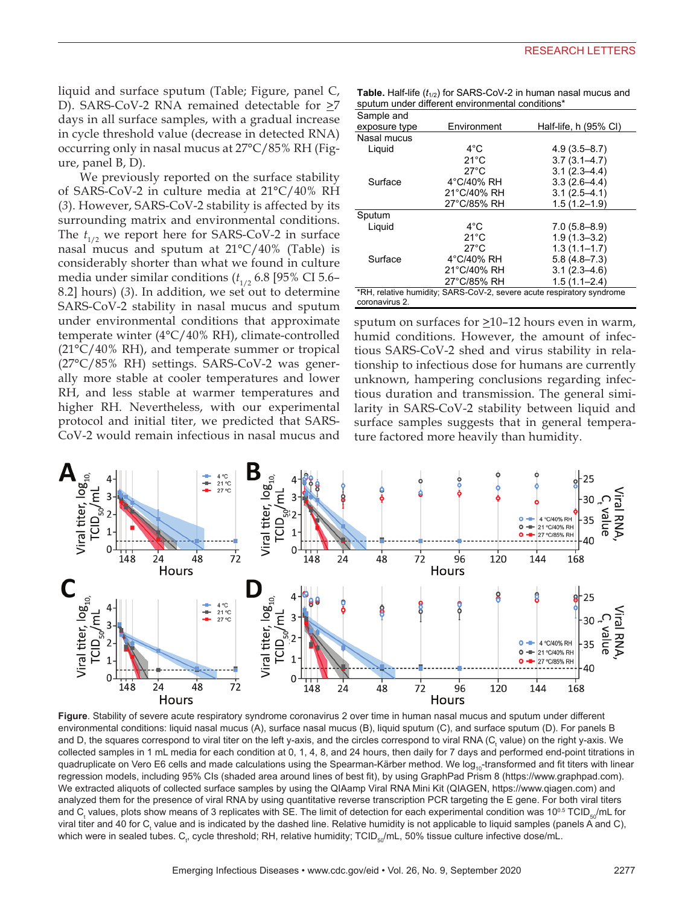liquid and surface sputum (Table; Figure, panel C, D). SARS-CoV-2 RNA remained detectable for  $\geq$ 7 days in all surface samples, with a gradual increase in cycle threshold value (decrease in detected RNA) occurring only in nasal mucus at 27°C/85% RH (Figure, panel B, D).

We previously reported on the surface stability of SARS-CoV-2 in culture media at 21°C/40% RH (*3*). However, SARS-CoV-2 stability is affected by its surrounding matrix and environmental conditions. The  $t_{1/2}$  we report here for SARS-CoV-2 in surface nasal mucus and sputum at 21°C/40% (Table) is considerably shorter than what we found in culture media under similar conditions  $(t_{1/2} 6.8$  [95% CI 5.6– 8.2] hours) (*3*). In addition, we set out to determine SARS-CoV-2 stability in nasal mucus and sputum under environmental conditions that approximate temperate winter (4°C/40% RH), climate-controlled  $(21^{\circ}C/40\% \text{ RH})$ , and temperate summer or tropical (27°C/85% RH) settings. SARS-CoV-2 was generally more stable at cooler temperatures and lower RH, and less stable at warmer temperatures and higher RH. Nevertheless, with our experimental protocol and initial titer, we predicted that SARS-CoV-2 would remain infectious in nasal mucus and

**Table.** Half-life  $(t_{1/2})$  for SARS-CoV-2 in human nasal mucus and sputum under different environmental conditions\*

| Sample and                                                            |                      |                        |
|-----------------------------------------------------------------------|----------------------|------------------------|
| exposure type                                                         | Environment          | Half-life, $h(95% Cl)$ |
| Nasal mucus                                                           |                      |                        |
| Liguid                                                                | $4^{\circ}$ C        | $4.9(3.5 - 8.7)$       |
|                                                                       | $21^{\circ}$ C       | $3.7(3.1 - 4.7)$       |
|                                                                       | $27^{\circ}$ C       | $3.1(2.3 - 4.4)$       |
| Surface                                                               | 4°C/40% RH           | $3.3(2.6-4.4)$         |
|                                                                       | 21°C/40% RH          | $3.1(2.5 - 4.1)$       |
|                                                                       | 27°C/85% RH          | $1.5(1.2 - 1.9)$       |
| Sputum                                                                |                      |                        |
| Liguid                                                                | $4^{\circ}$ C        | $7.0(5.8 - 8.9)$       |
|                                                                       | $21^{\circ}$ C       | $1.9(1.3 - 3.2)$       |
|                                                                       | $27^{\circ}$ C       | $1.3(1.1 - 1.7)$       |
| Surface                                                               | $4^{\circ}$ C/40% RH | $5.8(4.8 - 7.3)$       |
|                                                                       | 21°C/40% RH          | $3.1(2.3 - 4.6)$       |
|                                                                       | 27°C/85% RH          | $1.5(1.1 - 2.4)$       |
| *RH, relative humidity; SARS-CoV-2, severe acute respiratory syndrome |                      |                        |
| coronavirus 2.                                                        |                      |                        |

sputum on surfaces for  $\geq$ 10-12 hours even in warm, humid conditions. However, the amount of infectious SARS-CoV-2 shed and virus stability in relationship to infectious dose for humans are currently unknown, hampering conclusions regarding infectious duration and transmission. The general similarity in SARS-CoV-2 stability between liquid and surface samples suggests that in general temperature factored more heavily than humidity.



**Figure**. Stability of severe acute respiratory syndrome coronavirus 2 over time in human nasal mucus and sputum under different environmental conditions: liquid nasal mucus (A), surface nasal mucus (B), liquid sputum (C), and surface sputum (D). For panels B and D, the squares correspond to viral titer on the left y-axis, and the circles correspond to viral RNA (C<sub>t</sub> value) on the right y-axis. We collected samples in 1 mL media for each condition at 0, 1, 4, 8, and 24 hours, then daily for 7 days and performed end-point titrations in quadruplicate on Vero E6 cells and made calculations using the Spearman-Kärber method. We log<sub>10</sub>-transformed and fit titers with linear regression models, including 95% CIs (shaded area around lines of best fit), by using GraphPad Prism 8 (https://www.graphpad.com). We extracted aliquots of collected surface samples by using the QIAamp Viral RNA Mini Kit (QIAGEN, https://www.qiagen.com) and analyzed them for the presence of viral RNA by using quantitative reverse transcription PCR targeting the E gene. For both viral titers and C<sub>t</sub> values, plots show means of 3 replicates with SE. The limit of detection for each experimental condition was 10<sup>o.s</sup> TCID<sub>so</sub>/mL for viral titer and 40 for C<sub>t</sub> value and is indicated by the dashed line. Relative humidity is not applicable to liquid samples (panels A and C), which were in sealed tubes.  ${\tt C}_v$  cycle threshold; RH, relative humidity; TCID<sub>50</sub>/mL, 50% tissue culture infective dose/mL.